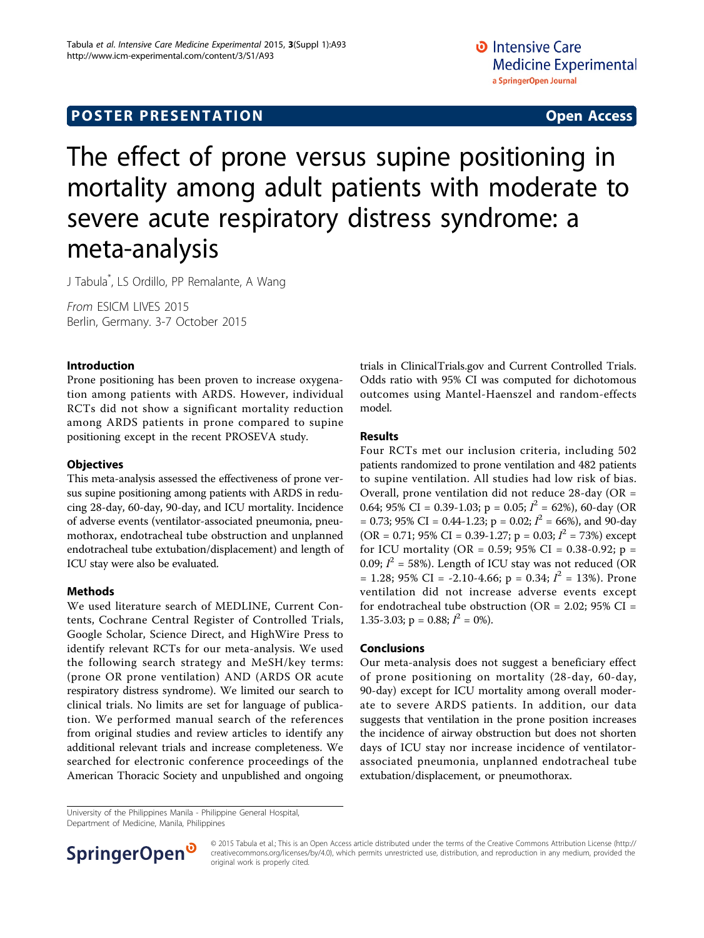# The effect of prone versus supine positioning in mortality among adult patients with moderate to severe acute respiratory distress syndrome: a meta-analysis

J Tabula\* , LS Ordillo, PP Remalante, A Wang

From ESICM LIVES 2015 Berlin, Germany. 3-7 October 2015

#### Introduction

Prone positioning has been proven to increase oxygenation among patients with ARDS. However, individual RCTs did not show a significant mortality reduction among ARDS patients in prone compared to supine positioning except in the recent PROSEVA study.

### **Objectives**

This meta-analysis assessed the effectiveness of prone versus supine positioning among patients with ARDS in reducing 28-day, 60-day, 90-day, and ICU mortality. Incidence of adverse events (ventilator-associated pneumonia, pneumothorax, endotracheal tube obstruction and unplanned endotracheal tube extubation/displacement) and length of ICU stay were also be evaluated.

#### Methods

We used literature search of MEDLINE, Current Contents, Cochrane Central Register of Controlled Trials, Google Scholar, Science Direct, and HighWire Press to identify relevant RCTs for our meta-analysis. We used the following search strategy and MeSH/key terms: (prone OR prone ventilation) AND (ARDS OR acute respiratory distress syndrome). We limited our search to clinical trials. No limits are set for language of publication. We performed manual search of the references from original studies and review articles to identify any additional relevant trials and increase completeness. We searched for electronic conference proceedings of the American Thoracic Society and unpublished and ongoing

trials in ClinicalTrials.gov and Current Controlled Trials. Odds ratio with 95% CI was computed for dichotomous outcomes using Mantel-Haenszel and random-effects model.

#### Results

Four RCTs met our inclusion criteria, including 502 patients randomized to prone ventilation and 482 patients to supine ventilation. All studies had low risk of bias. Overall, prone ventilation did not reduce 28-day (OR = 0.64; 95% CI = 0.39-1.03; p = 0.05;  $I^2$  = 62%), 60-day (OR = 0.73; 95% CI = 0.44-1.23; p = 0.02;  $I^2$  = 66%), and 90-day (OR = 0.71; 95% CI = 0.39-1.27; p = 0.03;  $I^2$  = 73%) except for ICU mortality (OR = 0.59; 95% CI = 0.38-0.92; p = 0.09;  $I^2 = 58\%$ ). Length of ICU stay was not reduced (OR  $= 1.28$ ; 95% CI = -2.10-4.66; p = 0.34;  $I^2 = 13$ %). Prone ventilation did not increase adverse events except for endotracheal tube obstruction (OR =  $2.02$ ; 95% CI = 1.35-3.03;  $p = 0.88$ ;  $I^2 = 0\%$ ).

#### Conclusions

Our meta-analysis does not suggest a beneficiary effect of prone positioning on mortality (28-day, 60-day, 90-day) except for ICU mortality among overall moderate to severe ARDS patients. In addition, our data suggests that ventilation in the prone position increases the incidence of airway obstruction but does not shorten days of ICU stay nor increase incidence of ventilatorassociated pneumonia, unplanned endotracheal tube extubation/displacement, or pneumothorax.

University of the Philippines Manila - Philippine General Hospital, Department of Medicine, Manila, Philippines



© 2015 Tabula et al.; This is an Open Access article distributed under the terms of the Creative Commons Attribution License [\(http://](http://creativecommons.org/licenses/by/4.0) [creativecommons.org/licenses/by/4.0](http://creativecommons.org/licenses/by/4.0)), which permits unrestricted use, distribution, and reproduction in any medium, provided the original work is properly cited.